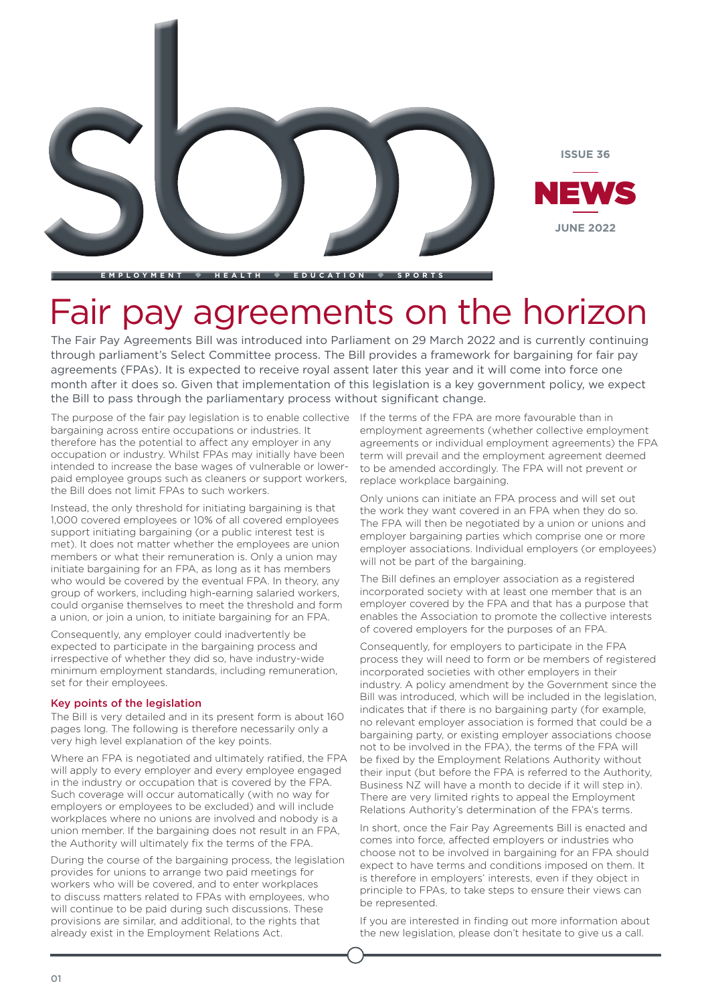

**EMPLOYMENT HEALTH EDUCAT ION SPORTS**

## Fair pay agreements on the horizon

The Fair Pay Agreements Bill was introduced into Parliament on 29 March 2022 and is currently continuing through parliament's Select Committee process. The Bill provides a framework for bargaining for fair pay agreements (FPAs). It is expected to receive royal assent later this year and it will come into force one month after it does so. Given that implementation of this legislation is a key government policy, we expect the Bill to pass through the parliamentary process without significant change.

The purpose of the fair pay legislation is to enable collective If the terms of the FPA are more favourable than in bargaining across entire occupations or industries. It therefore has the potential to affect any employer in any occupation or industry. Whilst FPAs may initially have been intended to increase the base wages of vulnerable or lowerpaid employee groups such as cleaners or support workers, the Bill does not limit FPAs to such workers.

Instead, the only threshold for initiating bargaining is that 1,000 covered employees or 10% of all covered employees support initiating bargaining (or a public interest test is met). It does not matter whether the employees are union members or what their remuneration is. Only a union may initiate bargaining for an FPA, as long as it has members who would be covered by the eventual FPA. In theory, any group of workers, including high-earning salaried workers, could organise themselves to meet the threshold and form a union, or join a union, to initiate bargaining for an FPA.

Consequently, any employer could inadvertently be expected to participate in the bargaining process and irrespective of whether they did so, have industry-wide minimum employment standards, including remuneration, set for their employees.

#### Key points of the legislation

The Bill is very detailed and in its present form is about 160 pages long. The following is therefore necessarily only a very high level explanation of the key points.

Where an FPA is negotiated and ultimately ratified, the FPA will apply to every employer and every employee engaged in the industry or occupation that is covered by the FPA. Such coverage will occur automatically (with no way for employers or employees to be excluded) and will include workplaces where no unions are involved and nobody is a union member. If the bargaining does not result in an FPA, the Authority will ultimately fix the terms of the FPA.

During the course of the bargaining process, the legislation provides for unions to arrange two paid meetings for workers who will be covered, and to enter workplaces to discuss matters related to FPAs with employees, who will continue to be paid during such discussions. These provisions are similar, and additional, to the rights that already exist in the Employment Relations Act.

employment agreements (whether collective employment agreements or individual employment agreements) the FPA term will prevail and the employment agreement deemed to be amended accordingly. The FPA will not prevent or replace workplace bargaining.

Only unions can initiate an FPA process and will set out the work they want covered in an FPA when they do so. The FPA will then be negotiated by a union or unions and employer bargaining parties which comprise one or more employer associations. Individual employers (or employees) will not be part of the bargaining.

The Bill defines an employer association as a registered incorporated society with at least one member that is an employer covered by the FPA and that has a purpose that enables the Association to promote the collective interests of covered employers for the purposes of an FPA.

Consequently, for employers to participate in the FPA process they will need to form or be members of registered incorporated societies with other employers in their industry. A policy amendment by the Government since the Bill was introduced, which will be included in the legislation, indicates that if there is no bargaining party (for example, no relevant employer association is formed that could be a bargaining party, or existing employer associations choose not to be involved in the FPA), the terms of the FPA will be fixed by the Employment Relations Authority without their input (but before the FPA is referred to the Authority, Business NZ will have a month to decide if it will step in). There are very limited rights to appeal the Employment Relations Authority's determination of the FPA's terms.

In short, once the Fair Pay Agreements Bill is enacted and comes into force, affected employers or industries who choose not to be involved in bargaining for an FPA should expect to have terms and conditions imposed on them. It is therefore in employers' interests, even if they object in principle to FPAs, to take steps to ensure their views can be represented.

If you are interested in finding out more information about the new legislation, please don't hesitate to give us a call.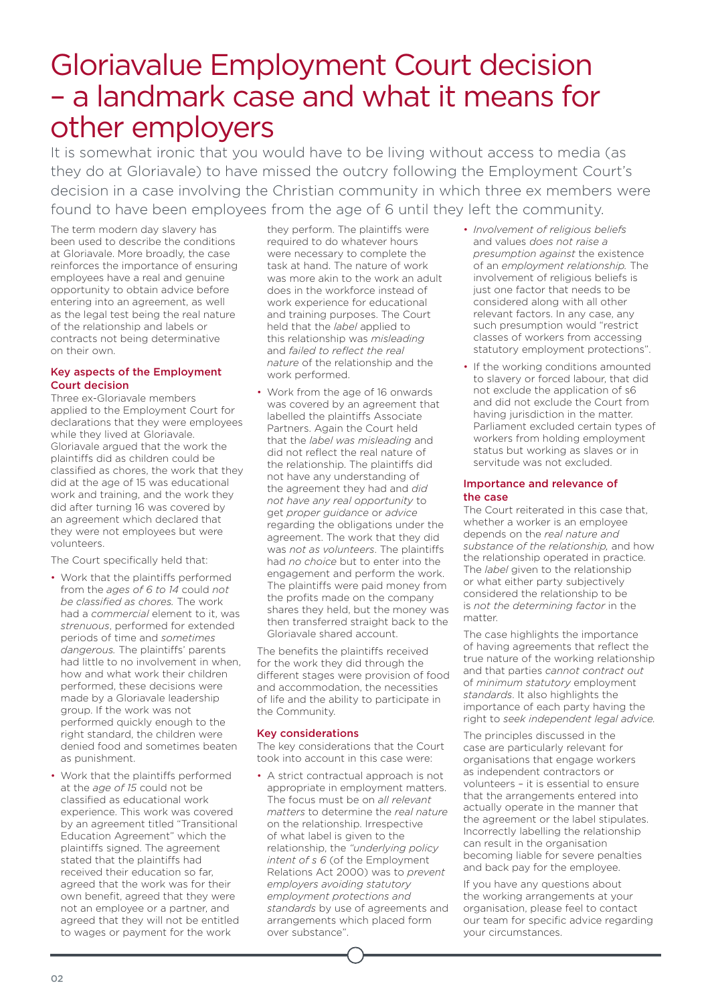## Gloriavalue Employment Court decision – a landmark case and what it means for other employers

It is somewhat ironic that you would have to be living without access to media (as they do at Gloriavale) to have missed the outcry following the Employment Court's decision in a case involving the Christian community in which three ex members were found to have been employees from the age of 6 until they left the community.

The term modern day slavery has been used to describe the conditions at Gloriavale. More broadly, the case reinforces the importance of ensuring employees have a real and genuine opportunity to obtain advice before entering into an agreement, as well as the legal test being the real nature of the relationship and labels or contracts not being determinative on their own.

#### Key aspects of the Employment Court decision

Three ex-Gloriavale members applied to the Employment Court for declarations that they were employees while they lived at Gloriavale. Gloriavale argued that the work the plaintiffs did as children could be classified as chores, the work that they did at the age of 15 was educational work and training, and the work they did after turning 16 was covered by an agreement which declared that they were not employees but were volunteers.

The Court specifically held that:

- Work that the plaintiffs performed from the *ages of 6 to 14* could *not be classified as chores.* The work had a *commercial* element to it, was *strenuous*, performed for extended periods of time and *sometimes dangerous.* The plaintiffs' parents had little to no involvement in when, how and what work their children performed, these decisions were made by a Gloriavale leadership group. If the work was not performed quickly enough to the right standard, the children were denied food and sometimes beaten as punishment.
- Work that the plaintiffs performed at the *age of 15* could not be classified as educational work experience. This work was covered by an agreement titled "Transitional Education Agreement" which the plaintiffs signed. The agreement stated that the plaintiffs had received their education so far, agreed that the work was for their own benefit, agreed that they were not an employee or a partner, and agreed that they will not be entitled to wages or payment for the work

they perform. The plaintiffs were required to do whatever hours were necessary to complete the task at hand. The nature of work was more akin to the work an adult does in the workforce instead of work experience for educational and training purposes. The Court held that the *label* applied to this relationship was *misleading* and *failed to reflect the real nature* of the relationship and the work performed.

• Work from the age of 16 onwards was covered by an agreement that labelled the plaintiffs Associate Partners. Again the Court held that the *label was misleading* and did not reflect the real nature of the relationship. The plaintiffs did not have any understanding of the agreement they had and *did not have any real opportunity* to get *proper guidance* or *advice* regarding the obligations under the agreement. The work that they did was *not as volunteers*. The plaintiffs had *no choice* but to enter into the engagement and perform the work. The plaintiffs were paid money from the profits made on the company shares they held, but the money was then transferred straight back to the Gloriavale shared account.

The benefits the plaintiffs received for the work they did through the different stages were provision of food and accommodation, the necessities of life and the ability to participate in the Community.

#### Key considerations

The key considerations that the Court took into account in this case were:

• A strict contractual approach is not appropriate in employment matters. The focus must be on *all relevant matters* to determine the *real nature* on the relationship. Irrespective of what label is given to the relationship, the *"underlying policy intent of s 6* (of the Employment Relations Act 2000) was to *prevent employers avoiding statutory employment protections and standards* by use of agreements and arrangements which placed form over substance".

- *Involvement of religious beliefs* and values *does not raise a presumption against* the existence of an *employment relationship.* The involvement of religious beliefs is just one factor that needs to be considered along with all other relevant factors. In any case, any such presumption would "restrict classes of workers from accessing statutory employment protections".
- If the working conditions amounted to slavery or forced labour, that did not exclude the application of s6 and did not exclude the Court from having jurisdiction in the matter. Parliament excluded certain types of workers from holding employment status but working as slaves or in servitude was not excluded.

#### Importance and relevance of the case

The Court reiterated in this case that, whether a worker is an employee depends on the *real nature and substance of the relationship,* and how the relationship operated in practice. The *label* given to the relationship or what either party subjectively considered the relationship to be is *not the determining factor* in the matter.

The case highlights the importance of having agreements that reflect the true nature of the working relationship and that parties *cannot contract out* of *minimum statutory* employment *standards*. It also highlights the importance of each party having the right to *seek independent legal advice.*

The principles discussed in the case are particularly relevant for organisations that engage workers as independent contractors or volunteers – it is essential to ensure that the arrangements entered into actually operate in the manner that the agreement or the label stipulates. Incorrectly labelling the relationship can result in the organisation becoming liable for severe penalties and back pay for the employee.

If you have any questions about the working arrangements at your organisation, please feel to contact our team for specific advice regarding your circumstances.